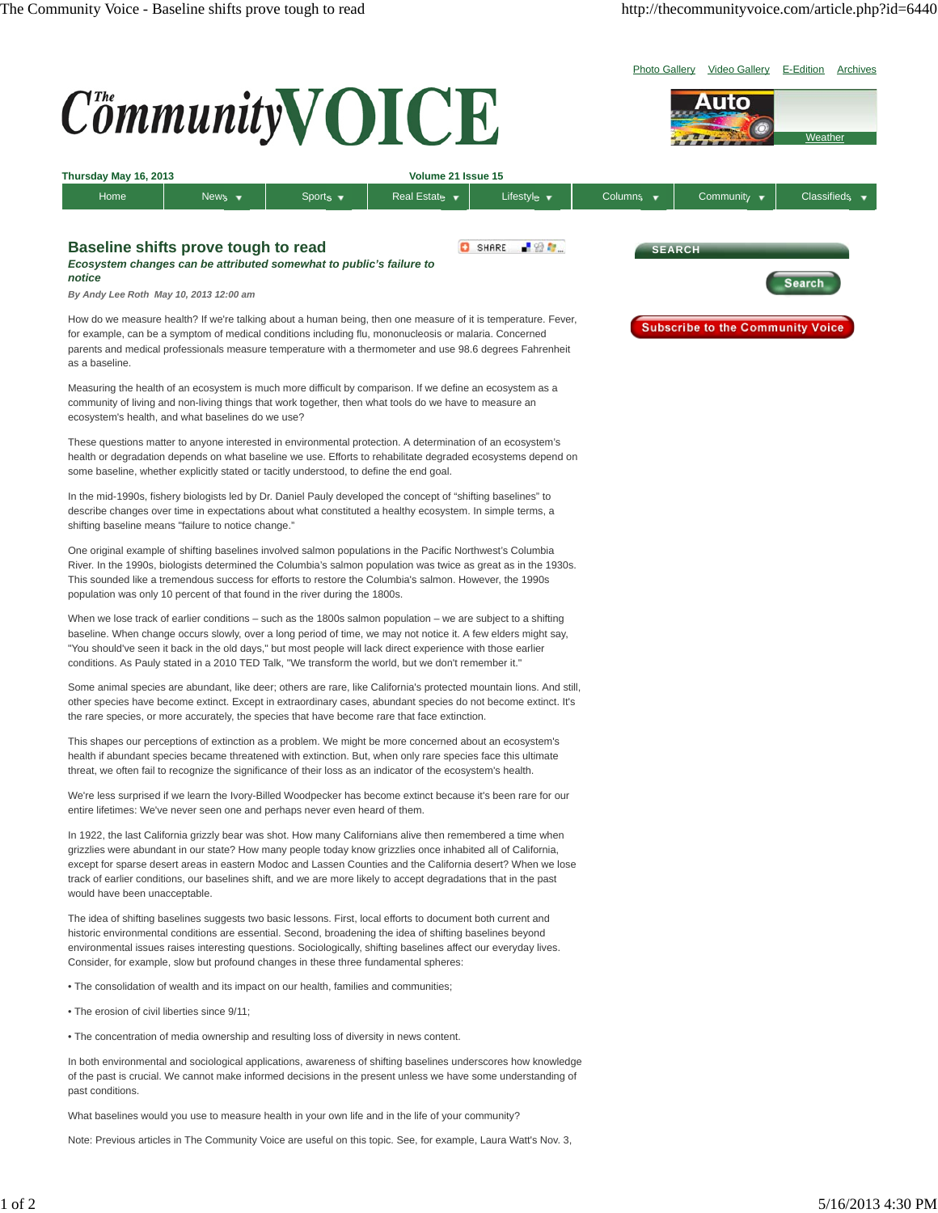

In both environmental and sociological applications, awareness of shifting baselines underscores how knowledge of the past is crucial. We cannot make informed decisions in the present unless we have some understanding of past conditions.

What baselines would you use to measure health in your own life and in the life of your community?

Note: Previous articles in The Community Voice are useful on this topic. See, for example, Laura Watt's Nov. 3,